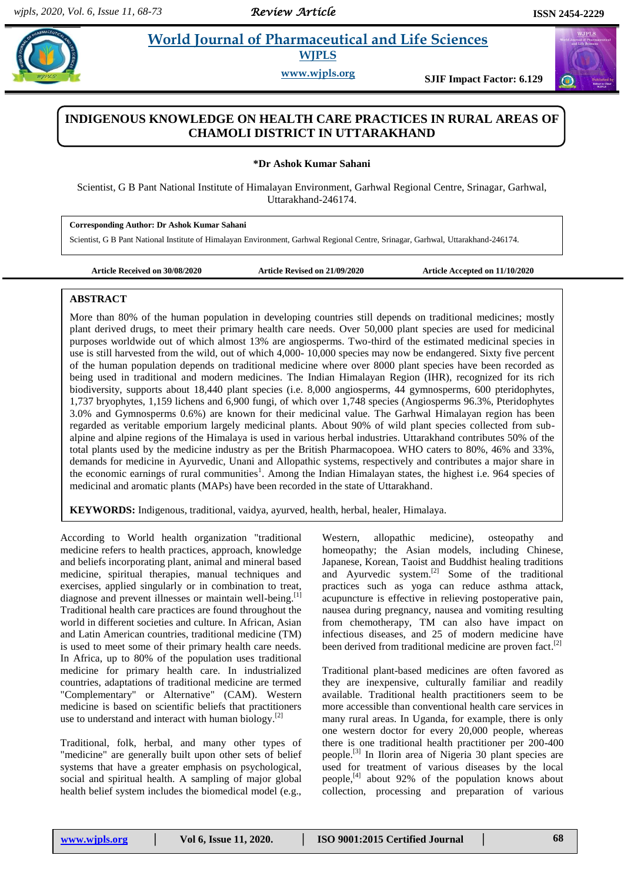#### *Review Article*

 $\omega$ 

# **Ashock** 2 **World Journal of Pharmaceutical and Life Sciences WJPLS**

**www.wjpls.org SJIF Impact Factor: 6.129**

## **INDIGENOUS KNOWLEDGE ON HEALTH CARE PRACTICES IN RURAL AREAS OF CHAMOLI DISTRICT IN UTTARAKHAND**

**\*Dr Ashok Kumar Sahani**

Scientist, G B Pant National Institute of Himalayan Environment, Garhwal Regional Centre, Srinagar, Garhwal, Uttarakhand-246174.

**Corresponding Author: Dr Ashok Kumar Sahani**

Scientist, G B Pant National Institute of Himalayan Environment, Garhwal Regional Centre, Srinagar, Garhwal, Uttarakhand-246174.

**Article Received on 30/08/2020 Article Revised on 21/09/2020 Article Accepted on 11/10/2020**

#### **ABSTRACT**

More than 80% of the human population in developing countries still depends on traditional medicines; mostly plant derived drugs, to meet their primary health care needs. Over 50,000 plant species are used for medicinal purposes worldwide out of which almost 13% are angiosperms. Two-third of the estimated medicinal species in use is still harvested from the wild, out of which 4,000- 10,000 species may now be endangered. Sixty five percent of the human population depends on traditional medicine where over 8000 plant species have been recorded as being used in traditional and modern medicines. The Indian Himalayan Region (IHR), recognized for its rich biodiversity, supports about 18,440 plant species (i.e. 8,000 angiosperms, 44 gymnosperms, 600 pteridophytes, 1,737 bryophytes, 1,159 lichens and 6,900 fungi, of which over 1,748 species (Angiosperms 96.3%, Pteridophytes 3.0% and Gymnosperms 0.6%) are known for their medicinal value. The Garhwal Himalayan region has been regarded as veritable emporium largely medicinal plants. About 90% of wild plant species collected from subalpine and alpine regions of the Himalaya is used in various herbal industries. Uttarakhand contributes 50% of the total plants used by the medicine industry as per the British Pharmacopoea. WHO caters to 80%, 46% and 33%, demands for medicine in Ayurvedic, Unani and Allopathic systems, respectively and contributes a major share in the economic earnings of rural communities<sup>1</sup>. Among the Indian Himalayan states, the highest i.e. 964 species of medicinal and aromatic plants (MAPs) have been recorded in the state of Uttarakhand.

**KEYWORDS:** Indigenous, traditional, vaidya, ayurved, health, herbal, healer, Himalaya.

According to World health organization "traditional medicine refers to health practices, approach, knowledge and beliefs incorporating plant, animal and mineral based medicine, spiritual therapies, manual techniques and exercises, applied singularly or in combination to treat, diagnose and prevent illnesses or maintain well-being.<sup>[1]</sup> Traditional health care practices are found throughout the world in different societies and culture. In African, Asian and Latin American countries, traditional medicine (TM) is used to meet some of their primary health care needs. In Africa, up to 80% of the population uses traditional medicine for primary health care. In industrialized countries, adaptations of traditional medicine are termed "Complementary" or Alternative" (CAM). Western medicine is based on scientific beliefs that practitioners use to understand and interact with human biology.<sup>[2]</sup>

Traditional, folk, herbal, and many other types of "medicine" are generally built upon other sets of belief systems that have a greater emphasis on psychological, social and spiritual health. A sampling of major global health belief system includes the biomedical model (e.g.,

Western, allopathic medicine), osteopathy and homeopathy; the Asian models, including Chinese, Japanese, Korean, Taoist and Buddhist healing traditions and Ayurvedic system.<sup>[2]</sup> Some of the traditional practices such as yoga can reduce asthma attack, acupuncture is effective in relieving postoperative pain, nausea during pregnancy, nausea and vomiting resulting from chemotherapy, TM can also have impact on infectious diseases, and 25 of modern medicine have been derived from traditional medicine are proven fact.<sup>[2]</sup>

Traditional plant-based medicines are often favored as they are inexpensive, culturally familiar and readily available. Traditional health practitioners seem to be more accessible than conventional health care services in many rural areas. In Uganda, for example, there is only one western doctor for every 20,000 people, whereas there is one traditional health practitioner per 200-400 people.<sup>[3]</sup> In Ilorin area of Nigeria 30 plant species are used for treatment of various diseases by the local people,<sup>[4]</sup> about 92% of the population knows about collection, processing and preparation of various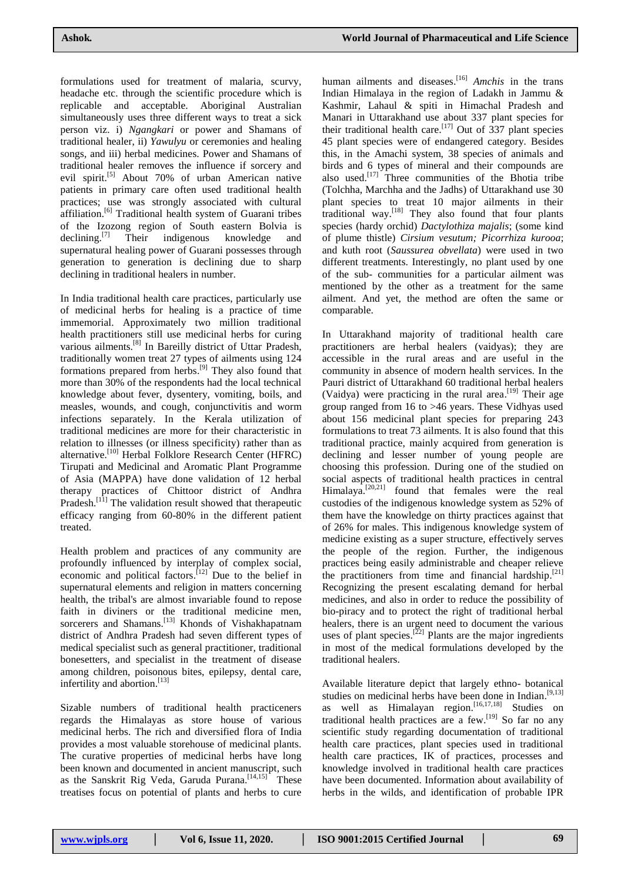formulations used for treatment of malaria, scurvy, headache etc. through the scientific procedure which is replicable and acceptable. Aboriginal Australian simultaneously uses three different ways to treat a sick person viz. i) *Ngangkari* or power and Shamans of traditional healer, ii) *Yawulyu* or ceremonies and healing songs, and iii) herbal medicines. Power and Shamans of traditional healer removes the influence if sorcery and evil spirit.<sup>[5]</sup> About 70% of urban American native patients in primary care often used traditional health practices; use was strongly associated with cultural affiliation.<sup>[6]</sup> Traditional health system of Guarani tribes of the Izozong region of South eastern Bolvia is declining. Their indigenous knowledge and supernatural healing power of Guarani possesses through generation to generation is declining due to sharp declining in traditional healers in number.

In India traditional health care practices, particularly use of medicinal herbs for healing is a practice of time immemorial. Approximately two million traditional health practitioners still use medicinal herbs for curing various ailments.<sup>[8]</sup> In Bareilly district of Uttar Pradesh, traditionally women treat 27 types of ailments using 124 formations prepared from herbs.<sup>[9]</sup> They also found that more than 30% of the respondents had the local technical knowledge about fever, dysentery, vomiting, boils, and measles, wounds, and cough, conjunctivitis and worm infections separately. In the Kerala utilization of traditional medicines are more for their characteristic in relation to illnesses (or illness specificity) rather than as alternative.<sup>[10]</sup> Herbal Folklore Research Center (HFRC) Tirupati and Medicinal and Aromatic Plant Programme of Asia (MAPPA) have done validation of 12 herbal therapy practices of Chittoor district of Andhra Pradesh.<sup>[11]</sup> The validation result showed that therapeutic efficacy ranging from 60-80% in the different patient treated.

Health problem and practices of any community are profoundly influenced by interplay of complex social, economic and political factors.<sup>[12]</sup> Due to the belief in supernatural elements and religion in matters concerning health, the tribal's are almost invariable found to repose faith in diviners or the traditional medicine men, sorcerers and Shamans.<sup>[13]</sup> Khonds of Vishakhapatnam district of Andhra Pradesh had seven different types of medical specialist such as general practitioner, traditional bonesetters, and specialist in the treatment of disease among children, poisonous bites, epilepsy, dental care, infertility and abortion. [13]

Sizable numbers of traditional health practiceners regards the Himalayas as store house of various medicinal herbs. The rich and diversified flora of India provides a most valuable storehouse of medicinal plants. The curative properties of medicinal herbs have long been known and documented in ancient manuscript, such as the Sanskrit Rig Veda, Garuda Purana.<sup>[14,15]</sup> These treatises focus on potential of plants and herbs to cure

human ailments and diseases. [16] *Amchis* in the trans Indian Himalaya in the region of Ladakh in Jammu & Kashmir, Lahaul & spiti in Himachal Pradesh and Manari in Uttarakhand use about 337 plant species for their traditional health care.<sup>[17]</sup> Out of  $337$  plant species 45 plant species were of endangered category. Besides this, in the Amachi system, 38 species of animals and birds and 6 types of mineral and their compounds are also used.<sup>[17]</sup> Three communities of the Bhotia tribe (Tolchha, Marchha and the Jadhs) of Uttarakhand use 30 plant species to treat 10 major ailments in their traditional way. [18] They also found that four plants species (hardy orchid) *Dactylothiza majalis*; (some kind of plume thistle) *Cirsium vesutum; Picorrhiza kurooa*; and kuth root (*Saussurea obvellata*) were used in two different treatments. Interestingly, no plant used by one of the sub- communities for a particular ailment was mentioned by the other as a treatment for the same ailment. And yet, the method are often the same or comparable.

In Uttarakhand majority of traditional health care practitioners are herbal healers (vaidyas); they are accessible in the rural areas and are useful in the community in absence of modern health services. In the Pauri district of Uttarakhand 60 traditional herbal healers (Vaidya) were practicing in the rural area.<sup>[19]</sup> Their age group ranged from 16 to >46 years. These Vidhyas used about 156 medicinal plant species for preparing 243 formulations to treat 73 ailments. It is also found that this traditional practice, mainly acquired from generation is declining and lesser number of young people are choosing this profession. During one of the studied on social aspects of traditional health practices in central Himalaya.<sup>[20,21]</sup> found that females were the real custodies of the indigenous knowledge system as 52% of them have the knowledge on thirty practices against that of 26% for males. This indigenous knowledge system of medicine existing as a super structure, effectively serves the people of the region. Further, the indigenous practices being easily administrable and cheaper relieve the practitioners from time and financial hardship.<sup>[21]</sup> Recognizing the present escalating demand for herbal medicines, and also in order to reduce the possibility of bio-piracy and to protect the right of traditional herbal healers, there is an urgent need to document the various uses of plant species.<sup>[22]</sup> Plants are the major ingredients in most of the medical formulations developed by the traditional healers.

Available literature depict that largely ethno- botanical studies on medicinal herbs have been done in Indian.<sup>[9,13]</sup> as well as Himalayan region.  $[16, 17, 18]$  Studies on traditional health practices are a few.<sup>[19]</sup> So far no any scientific study regarding documentation of traditional health care practices, plant species used in traditional health care practices, IK of practices, processes and knowledge involved in traditional health care practices have been documented. Information about availability of herbs in the wilds, and identification of probable IPR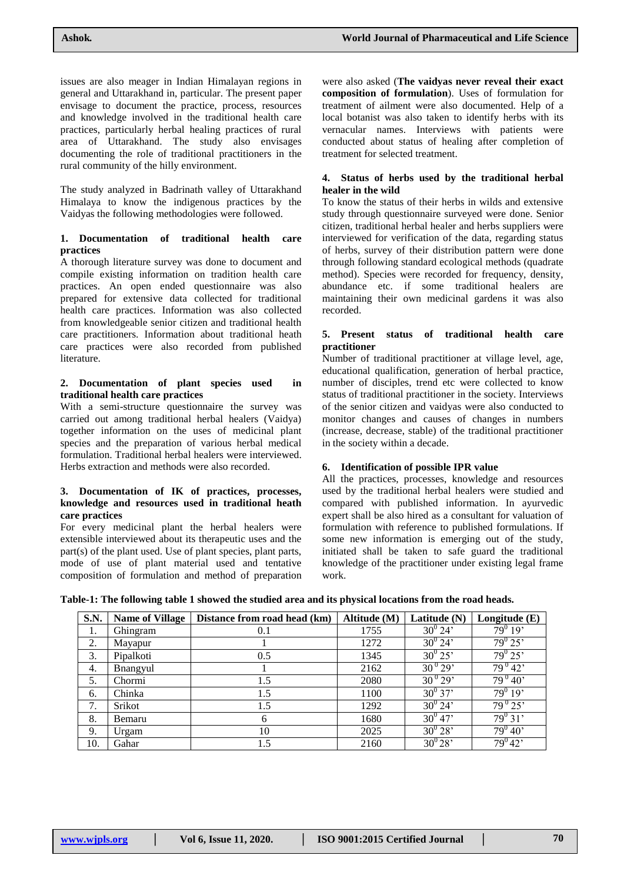issues are also meager in Indian Himalayan regions in general and Uttarakhand in, particular. The present paper envisage to document the practice, process, resources and knowledge involved in the traditional health care practices, particularly herbal healing practices of rural area of Uttarakhand. The study also envisages documenting the role of traditional practitioners in the rural community of the hilly environment.

The study analyzed in Badrinath valley of Uttarakhand Himalaya to know the indigenous practices by the Vaidyas the following methodologies were followed.

#### **1. Documentation of traditional health care practices**

A thorough literature survey was done to document and compile existing information on tradition health care practices. An open ended questionnaire was also prepared for extensive data collected for traditional health care practices. Information was also collected from knowledgeable senior citizen and traditional health care practitioners. Information about traditional heath care practices were also recorded from published literature.

#### **2. Documentation of plant species used in traditional health care practices**

With a semi-structure questionnaire the survey was carried out among traditional herbal healers (Vaidya) together information on the uses of medicinal plant species and the preparation of various herbal medical formulation. Traditional herbal healers were interviewed. Herbs extraction and methods were also recorded.

#### **3. Documentation of IK of practices, processes, knowledge and resources used in traditional heath care practices**

For every medicinal plant the herbal healers were extensible interviewed about its therapeutic uses and the part(s) of the plant used. Use of plant species, plant parts, mode of use of plant material used and tentative composition of formulation and method of preparation were also asked (**The vaidyas never reveal their exact composition of formulation**). Uses of formulation for treatment of ailment were also documented. Help of a local botanist was also taken to identify herbs with its vernacular names. Interviews with patients were conducted about status of healing after completion of treatment for selected treatment.

#### **4. Status of herbs used by the traditional herbal healer in the wild**

To know the status of their herbs in wilds and extensive study through questionnaire surveyed were done. Senior citizen, traditional herbal healer and herbs suppliers were interviewed for verification of the data, regarding status of herbs, survey of their distribution pattern were done through following standard ecological methods (quadrate method). Species were recorded for frequency, density, abundance etc. if some traditional healers are maintaining their own medicinal gardens it was also recorded.

#### **5. Present status of traditional health care practitioner**

Number of traditional practitioner at village level, age, educational qualification, generation of herbal practice, number of disciples, trend etc were collected to know status of traditional practitioner in the society. Interviews of the senior citizen and vaidyas were also conducted to monitor changes and causes of changes in numbers (increase, decrease, stable) of the traditional practitioner in the society within a decade.

#### **6. Identification of possible IPR value**

All the practices, processes, knowledge and resources used by the traditional herbal healers were studied and compared with published information. In ayurvedic expert shall be also hired as a consultant for valuation of formulation with reference to published formulations. If some new information is emerging out of the study, initiated shall be taken to safe guard the traditional knowledge of the practitioner under existing legal frame work.

**Table-1: The following table 1 showed the studied area and its physical locations from the road heads.**

| S.N. | <b>Name of Village</b> | Distance from road head (km) | Altitude (M) | Latitude (N) | Longitude (E)                   |
|------|------------------------|------------------------------|--------------|--------------|---------------------------------|
| 1.   | Ghingram               | 0.1                          | 1755         | $30^{0}$ 24' | $79^0$ 19'                      |
| 2.   | Mayapur                |                              | 1272         | $30^{0}$ 24' | $79^{0}$ 25'                    |
| 3.   | Pipalkoti              | 0.5                          | 1345         | $30^{0} 25'$ | $79^{\circ} 25$                 |
| 4.   | <b>B</b> nangyul       |                              | 2162         | $30^{0} 29'$ | $79^{0}42'$                     |
| 5.   | Chormi                 | 1.5                          | 2080         | $30^{0}$ 29' | $\frac{1}{79}$ <sup>0</sup> 40' |
| 6.   | Chinka                 | 1.5                          | 1100         | $30^{0}$ 37' | $79^{0}$ 19'                    |
| 7.   | Srikot                 | 1.5                          | 1292         | $30^{0}$ 24' | $79^{0}$ 25'                    |
| 8.   | Bemaru                 | 6                            | 1680         | $30^{0}47'$  | $79^{0}$ 31'                    |
| 9.   | Urgam                  | 10                           | 2025         | $30^{0} 28'$ | $\frac{1}{79^{0}}$ 40'          |
| 10.  | Gahar                  | 1.5                          | 2160         | $30^{0}28'$  | $79^{0}42'$                     |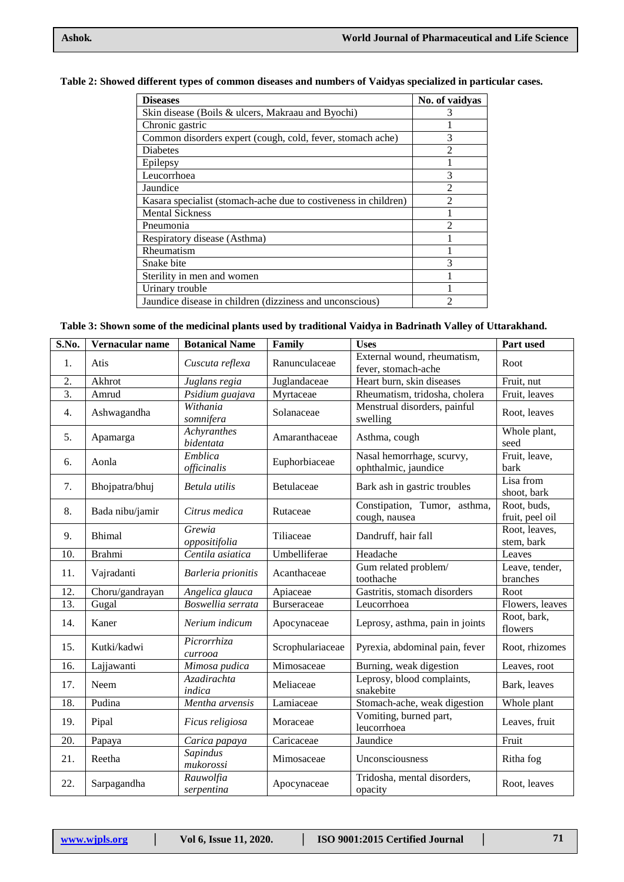### **Table 2: Showed different types of common diseases and numbers of Vaidyas specialized in particular cases.**

| <b>Diseases</b>                                                 | No. of vaidyas              |
|-----------------------------------------------------------------|-----------------------------|
| Skin disease (Boils & ulcers, Makraau and Byochi)               | 3                           |
| Chronic gastric                                                 |                             |
| Common disorders expert (cough, cold, fever, stomach ache)      | 3                           |
| <b>Diabetes</b>                                                 | $\mathfrak{D}$              |
| Epilepsy                                                        |                             |
| Leucorrhoea                                                     | 3                           |
| Jaundice                                                        | $\mathfrak{D}$              |
| Kasara specialist (stomach-ache due to costiveness in children) | $\mathcal{D}_{\mathcal{L}}$ |
| <b>Mental Sickness</b>                                          |                             |
| Pneumonia                                                       | ∍                           |
| Respiratory disease (Asthma)                                    |                             |
| Rheumatism                                                      |                             |
| Snake bite                                                      |                             |
| Sterility in men and women                                      |                             |
| Urinary trouble                                                 |                             |
| Jaundice disease in children (dizziness and unconscious)        |                             |

**Table 3: Shown some of the medicinal plants used by traditional Vaidya in Badrinath Valley of Uttarakhand.**

| S.No.            | Vernacular name | <b>Botanical Name</b>    | Family           | <b>Uses</b>                                        | Part used                      |
|------------------|-----------------|--------------------------|------------------|----------------------------------------------------|--------------------------------|
| 1.               | Atis            | Cuscuta reflexa          | Ranunculaceae    | External wound, rheumatism,<br>fever, stomach-ache | Root                           |
| $\overline{2}$ . | Akhrot          | Juglans regia            | Juglandaceae     | Heart burn, skin diseases                          | Fruit, nut                     |
| $\overline{3}$ . | Amrud           | Psidium guajava          | Myrtaceae        | Rheumatism, tridosha, cholera                      | Fruit, leaves                  |
| 4.               | Ashwagandha     | Withania<br>somnifera    | Solanaceae       | Menstrual disorders, painful<br>swelling           | Root, leaves                   |
| 5.               | Apamarga        | Achyranthes<br>bidentata | Amaranthaceae    | Asthma, cough                                      | Whole plant,<br>seed           |
| 6.               | Aonla           | Emblica<br>officinalis   | Euphorbiaceae    | Nasal hemorrhage, scurvy,<br>ophthalmic, jaundice  | Fruit, leave,<br>bark          |
| 7.               | Bhojpatra/bhuj  | Betula utilis            | Betulaceae       | Bark ash in gastric troubles                       | Lisa from<br>shoot, bark       |
| 8.               | Bada nibu/jamir | Citrus medica            | Rutaceae         | Constipation, Tumor, asthma,<br>cough, nausea      | Root, buds,<br>fruit, peel oil |
| 9.               | <b>Bhimal</b>   | Grewia<br>oppositifolia  | Tiliaceae        | Dandruff, hair fall                                | Root, leaves,<br>stem, bark    |
| 10.              | <b>Brahmi</b>   | Centila asiatica         | Umbelliferae     | Headache                                           | Leaves                         |
| 11.              | Vajradanti      | Barleria prionitis       | Acanthaceae      | Gum related problem/<br>toothache                  | Leave, tender,<br>branches     |
| 12.              | Choru/gandrayan | Angelica glauca          | Apiaceae         | Gastritis, stomach disorders                       | Root                           |
| 13.              | Gugal           | Boswellia serrata        | Burseraceae      | Leucorrhoea                                        | Flowers, leaves                |
| 14.              | Kaner           | Nerium indicum           | Apocynaceae      | Leprosy, asthma, pain in joints                    | Root, bark,<br>flowers         |
| 15.              | Kutki/kadwi     | Picrorrhiza<br>currooa   | Scrophulariaceae | Pyrexia, abdominal pain, fever                     | Root, rhizomes                 |
| 16.              | Lajjawanti      | Mimosa pudica            | Mimosaceae       | Burning, weak digestion                            | Leaves, root                   |
| 17.              | Neem            | Azadirachta<br>indica    | Meliaceae        | Leprosy, blood complaints,<br>snakebite            | Bark, leaves                   |
| 18.              | Pudina          | Mentha arvensis          | Lamiaceae        | Stomach-ache, weak digestion                       | Whole plant                    |
| 19.              | Pipal           | Ficus religiosa          | Moraceae         | Vomiting, burned part,<br>leucorrhoea              | Leaves, fruit                  |
| 20.              | Papaya          | Carica papaya            | Caricaceae       | Jaundice                                           | Fruit                          |
| 21.              | Reetha          | Sapindus<br>mukorossi    | Mimosaceae       | Unconsciousness                                    | Ritha fog                      |
| 22.              | Sarpagandha     | Rauwolfia<br>serpentina  | Apocynaceae      | Tridosha, mental disorders,<br>opacity             | Root, leaves                   |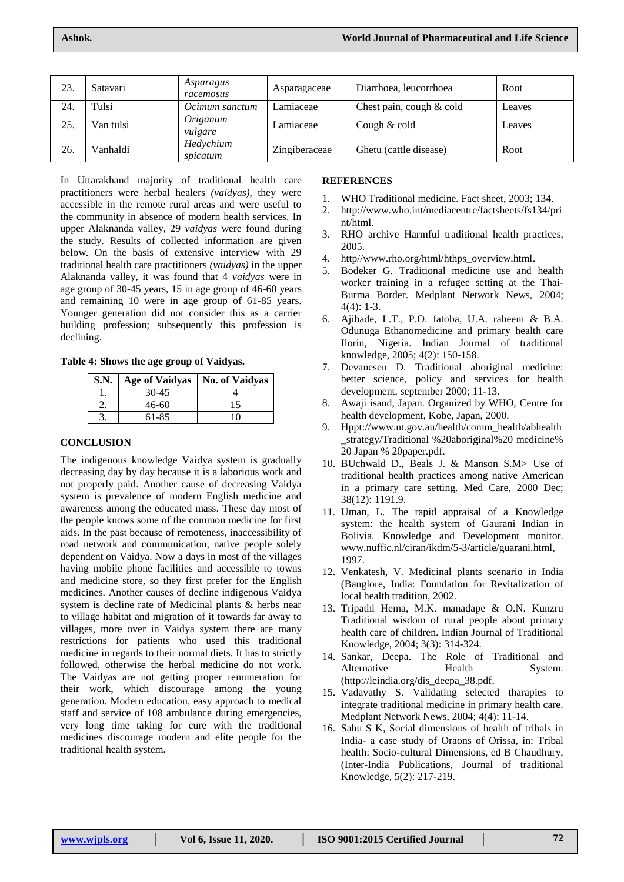| 23. | Satavari  | Asparagus<br>racemosus | Asparagaceae  | Diarrhoea, leucorrhoea   | Root   |
|-----|-----------|------------------------|---------------|--------------------------|--------|
| 24. | Tulsi     | Ocimum sanctum         | Lamiaceae     | Chest pain, cough & cold | Leaves |
| 25. | Van tulsi | Origanum<br>vulgare    | Lamiaceae     | Cough & cold             | Leaves |
| 26. | Vanhaldi  | Hedychium<br>spicatum  | Zingiberaceae | Ghetu (cattle disease)   | Root   |

In Uttarakhand majority of traditional health care practitioners were herbal healers *(vaidyas)*, they were accessible in the remote rural areas and were useful to the community in absence of modern health services. In upper Alaknanda valley, 29 *vaidyas* were found during the study. Results of collected information are given below. On the basis of extensive interview with 29 traditional health care practitioners *(vaidyas)* in the upper Alaknanda valley, it was found that 4 *vaidyas* were in age group of 30-45 years, 15 in age group of 46-60 years and remaining 10 were in age group of 61-85 years. Younger generation did not consider this as a carrier building profession; subsequently this profession is declining.

**Table 4: Shows the age group of Vaidyas.**

| S.N. | <b>Age of Vaidyas</b> | <b>No. of Vaidvas</b> |
|------|-----------------------|-----------------------|
|      | 30-45                 |                       |
|      | 46-60                 | 15                    |
|      | 61-85                 |                       |

#### **CONCLUSION**

The indigenous knowledge Vaidya system is gradually decreasing day by day because it is a laborious work and not properly paid. Another cause of decreasing Vaidya system is prevalence of modern English medicine and awareness among the educated mass. These day most of the people knows some of the common medicine for first aids. In the past because of remoteness, inaccessibility of road network and communication, native people solely dependent on Vaidya. Now a days in most of the villages having mobile phone facilities and accessible to towns and medicine store, so they first prefer for the English medicines. Another causes of decline indigenous Vaidya system is decline rate of Medicinal plants & herbs near to village habitat and migration of it towards far away to villages, more over in Vaidya system there are many restrictions for patients who used this traditional medicine in regards to their normal diets. It has to strictly followed, otherwise the herbal medicine do not work. The Vaidyas are not getting proper remuneration for their work, which discourage among the young generation. Modern education, easy approach to medical staff and service of 108 ambulance during emergencies, very long time taking for cure with the traditional medicines discourage modern and elite people for the traditional health system.

#### **REFERENCES**

- 1. WHO Traditional medicine. Fact sheet, 2003; 134.
- 2. http://www.who.int/mediacentre/factsheets/fs134/pri nt/html.
- 3. RHO archive Harmful traditional health practices, 2005.
- 4. http//www.rho.org/html/hthps\_overview.html.
- 5. Bodeker G. Traditional medicine use and health worker training in a refugee setting at the Thai-Burma Border. Medplant Network News, 2004;  $4(4): 1-3.$
- 6. Ajibade, L.T., P.O. fatoba, U.A. raheem & B.A. Odunuga Ethanomedicine and primary health care Ilorin, Nigeria. Indian Journal of traditional knowledge, 2005; 4(2): 150-158.
- 7. Devanesen D. Traditional aboriginal medicine: better science, policy and services for health development, september 2000; 11-13.
- 8. Awaji isand, Japan. Organized by WHO, Centre for health development, Kobe, Japan, 2000.
- 9. Hppt://www.nt.gov.au/health/comm\_health/abhealth \_strategy/Traditional %20aboriginal%20 medicine% 20 Japan % 20paper.pdf.
- 10. BUchwald D., Beals J. & Manson S.M> Use of traditional health practices among native American in a primary care setting. Med Care, 2000 Dec; 38(12): 1191.9.
- 11. Uman, L. The rapid appraisal of a Knowledge system: the health system of Gaurani Indian in Bolivia. Knowledge and Development monitor. www.nuffic.nl/ciran/ikdm/5-3/article/guarani.html, 1997.
- 12. Venkatesh, V. Medicinal plants scenario in India (Banglore, India: Foundation for Revitalization of local health tradition, 2002.
- 13. Tripathi Hema, M.K. manadape & O.N. Kunzru Traditional wisdom of rural people about primary health care of children. Indian Journal of Traditional Knowledge, 2004; 3(3): 314-324.
- 14. Sankar, Deepa. The Role of Traditional and Alternative Health System. (http://leindia.org/dis\_deepa\_38.pdf.
- 15. Vadavathy S. Validating selected tharapies to integrate traditional medicine in primary health care. Medplant Network News, 2004; 4(4): 11-14.
- 16. Sahu S K, Social dimensions of health of tribals in India- a case study of Oraons of Orissa, in: Tribal health: Socio-cultural Dimensions, ed B Chaudhury, (Inter-India Publications, Journal of traditional Knowledge, 5(2): 217-219.